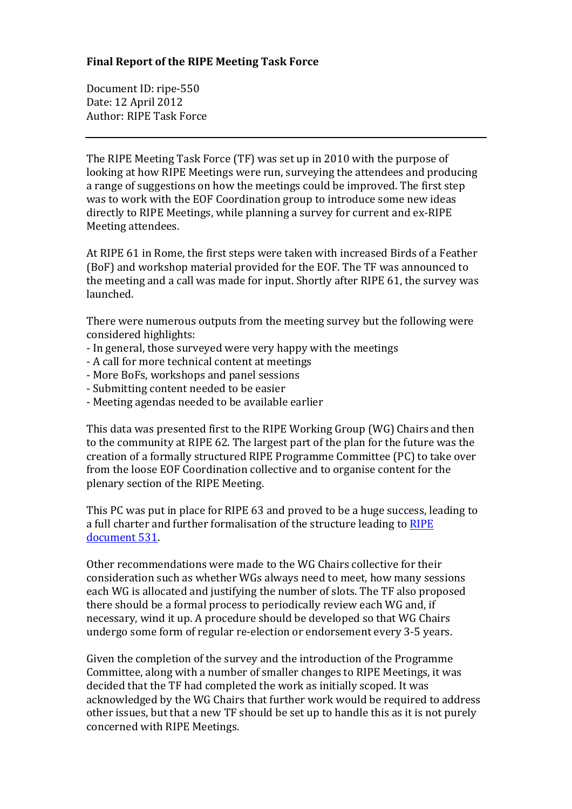## **Final Report of the RIPE Meeting Task Force**

Document ID: ripe-550 Date: 12 April 2012 Author: RIPE Task Force

The RIPE Meeting Task Force (TF) was set up in 2010 with the purpose of looking at how RIPE Meetings were run, surveying the attendees and producing a range of suggestions on how the meetings could be improved. The first step was to work with the EOF Coordination group to introduce some new ideas directly to RIPE Meetings, while planning a survey for current and ex-RIPE Meeting attendees.

At RIPE 61 in Rome, the first steps were taken with increased Birds of a Feather (BoF) and workshop material provided for the EOF. The TF was announced to the meeting and a call was made for input. Shortly after RIPE 61, the survey was launched.

There were numerous outputs from the meeting survey but the following were considered highlights:

- In general, those surveyed were very happy with the meetings
- A call for more technical content at meetings
- More BoFs, workshops and panel sessions
- Submitting content needed to be easier
- Meeting agendas needed to be available earlier

This data was presented first to the RIPE Working Group (WG) Chairs and then to the community at RIPE 62. The largest part of the plan for the future was the creation of a formally structured RIPE Programme Committee (PC) to take over from the loose EOF Coordination collective and to organise content for the plenary section of the RIPE Meeting.

This PC was put in place for RIPE 63 and proved to be a huge success, leading to a full charter and further formalisation of the structure leading to RIPE document 531.

Other recommendations were made to the WG Chairs collective for their consideration such as whether WGs always need to meet, how many sessions each WG is allocated and justifying the number of slots. The TF also proposed there should be a formal process to periodically review each WG and, if necessary, wind it up. A procedure should be developed so that WG Chairs undergo some form of regular re-election or endorsement every 3-5 years.

Given the completion of the survey and the introduction of the Programme Committee, along with a number of smaller changes to RIPE Meetings, it was decided that the TF had completed the work as initially scoped. It was acknowledged by the WG Chairs that further work would be required to address other issues, but that a new TF should be set up to handle this as it is not purely concerned with RIPE Meetings.